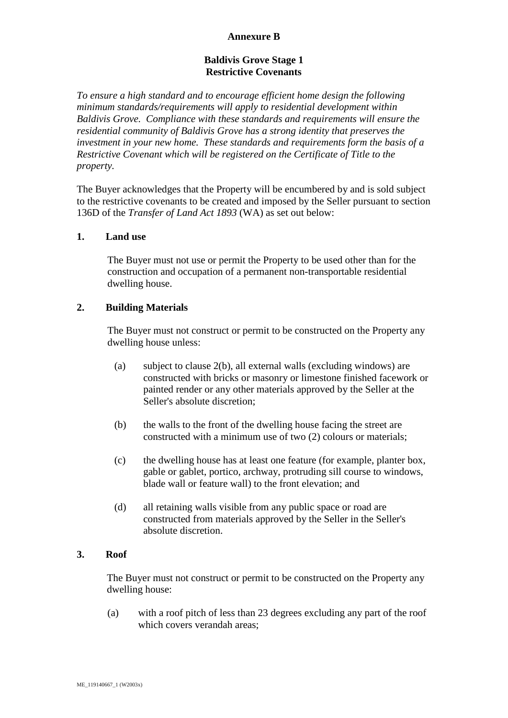## **Annexure B**

### **Baldivis Grove Stage 1 Restrictive Covenants**

*To ensure a high standard and to encourage efficient home design the following minimum standards/requirements will apply to residential development within Baldivis Grove. Compliance with these standards and requirements will ensure the residential community of Baldivis Grove has a strong identity that preserves the investment in your new home. These standards and requirements form the basis of a Restrictive Covenant which will be registered on the Certificate of Title to the property.*

The Buyer acknowledges that the Property will be encumbered by and is sold subject to the restrictive covenants to be created and imposed by the Seller pursuant to section 136D of the *Transfer of Land Act 1893* (WA) as set out below:

### **1. Land use**

The Buyer must not use or permit the Property to be used other than for the construction and occupation of a permanent non-transportable residential dwelling house.

### **2. Building Materials**

The Buyer must not construct or permit to be constructed on the Property any dwelling house unless:

- (a) subject to clause [2\(b\),](#page-0-0) all external walls (excluding windows) are constructed with bricks or masonry or limestone finished facework or painted render or any other materials approved by the Seller at the Seller's absolute discretion;
- <span id="page-0-0"></span>(b) the walls to the front of the dwelling house facing the street are constructed with a minimum use of two (2) colours or materials;
- (c) the dwelling house has at least one feature (for example, planter box, gable or gablet, portico, archway, protruding sill course to windows, blade wall or feature wall) to the front elevation; and
- (d) all retaining walls visible from any public space or road are constructed from materials approved by the Seller in the Seller's absolute discretion.

### **3. Roof**

The Buyer must not construct or permit to be constructed on the Property any dwelling house:

(a) with a roof pitch of less than 23 degrees excluding any part of the roof which covers verandah areas;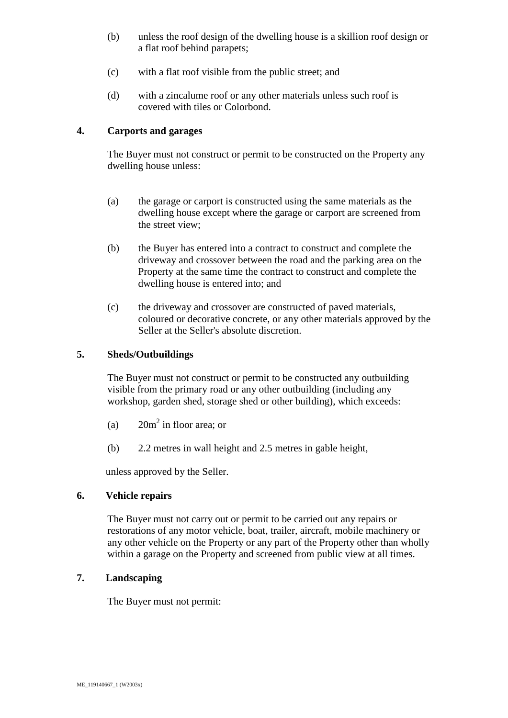- (b) unless the roof design of the dwelling house is a skillion roof design or a flat roof behind parapets;
- (c) with a flat roof visible from the public street; and
- (d) with a zincalume roof or any other materials unless such roof is covered with tiles or Colorbond.

# **4. Carports and garages**

The Buyer must not construct or permit to be constructed on the Property any dwelling house unless:

- (a) the garage or carport is constructed using the same materials as the dwelling house except where the garage or carport are screened from the street view;
- (b) the Buyer has entered into a contract to construct and complete the driveway and crossover between the road and the parking area on the Property at the same time the contract to construct and complete the dwelling house is entered into; and
- (c) the driveway and crossover are constructed of paved materials, coloured or decorative concrete, or any other materials approved by the Seller at the Seller's absolute discretion.

# **5. Sheds/Outbuildings**

The Buyer must not construct or permit to be constructed any outbuilding visible from the primary road or any other outbuilding (including any workshop, garden shed, storage shed or other building), which exceeds:

- (a)  $20m^2$  in floor area; or
- (b) 2.2 metres in wall height and 2.5 metres in gable height,

unless approved by the Seller.

### **6. Vehicle repairs**

The Buyer must not carry out or permit to be carried out any repairs or restorations of any motor vehicle, boat, trailer, aircraft, mobile machinery or any other vehicle on the Property or any part of the Property other than wholly within a garage on the Property and screened from public view at all times.

# **7. Landscaping**

The Buyer must not permit: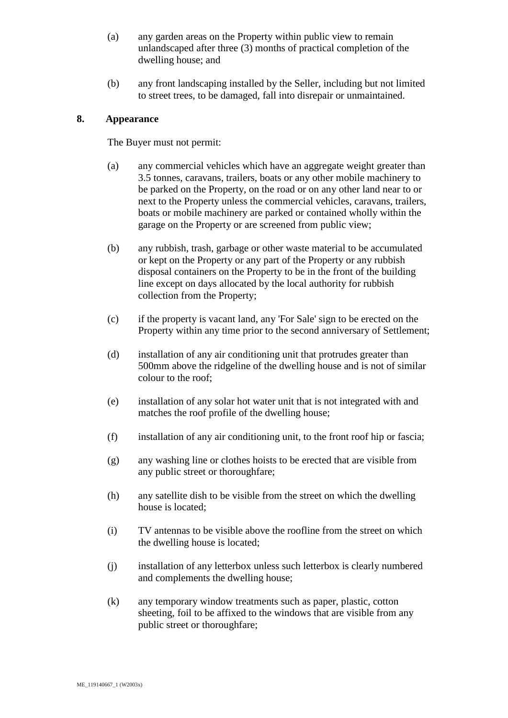- (a) any garden areas on the Property within public view to remain unlandscaped after three (3) months of practical completion of the dwelling house; and
- (b) any front landscaping installed by the Seller, including but not limited to street trees, to be damaged, fall into disrepair or unmaintained.

# **8. Appearance**

The Buyer must not permit:

- (a) any commercial vehicles which have an aggregate weight greater than 3.5 tonnes, caravans, trailers, boats or any other mobile machinery to be parked on the Property, on the road or on any other land near to or next to the Property unless the commercial vehicles, caravans, trailers, boats or mobile machinery are parked or contained wholly within the garage on the Property or are screened from public view;
- (b) any rubbish, trash, garbage or other waste material to be accumulated or kept on the Property or any part of the Property or any rubbish disposal containers on the Property to be in the front of the building line except on days allocated by the local authority for rubbish collection from the Property;
- (c) if the property is vacant land, any 'For Sale' sign to be erected on the Property within any time prior to the second anniversary of Settlement;
- (d) installation of any air conditioning unit that protrudes greater than 500mm above the ridgeline of the dwelling house and is not of similar colour to the roof;
- (e) installation of any solar hot water unit that is not integrated with and matches the roof profile of the dwelling house;
- (f) installation of any air conditioning unit, to the front roof hip or fascia;
- (g) any washing line or clothes hoists to be erected that are visible from any public street or thoroughfare;
- (h) any satellite dish to be visible from the street on which the dwelling house is located;
- (i) TV antennas to be visible above the roofline from the street on which the dwelling house is located;
- (j) installation of any letterbox unless such letterbox is clearly numbered and complements the dwelling house;
- (k) any temporary window treatments such as paper, plastic, cotton sheeting, foil to be affixed to the windows that are visible from any public street or thoroughfare;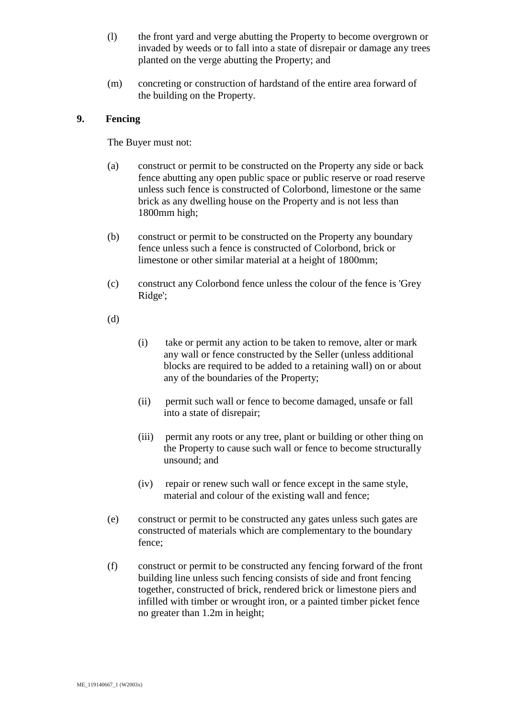- (l) the front yard and verge abutting the Property to become overgrown or invaded by weeds or to fall into a state of disrepair or damage any trees planted on the verge abutting the Property; and
- (m) concreting or construction of hardstand of the entire area forward of the building on the Property.

## **9. Fencing**

The Buyer must not:

- (a) construct or permit to be constructed on the Property any side or back fence abutting any open public space or public reserve or road reserve unless such fence is constructed of Colorbond, limestone or the same brick as any dwelling house on the Property and is not less than 1800mm high;
- (b) construct or permit to be constructed on the Property any boundary fence unless such a fence is constructed of Colorbond, brick or limestone or other similar material at a height of 1800mm;
- (c) construct any Colorbond fence unless the colour of the fence is 'Grey Ridge';
- (d)
- (i) take or permit any action to be taken to remove, alter or mark any wall or fence constructed by the Seller (unless additional blocks are required to be added to a retaining wall) on or about any of the boundaries of the Property;
- (ii) permit such wall or fence to become damaged, unsafe or fall into a state of disrepair;
- (iii) permit any roots or any tree, plant or building or other thing on the Property to cause such wall or fence to become structurally unsound; and
- (iv) repair or renew such wall or fence except in the same style, material and colour of the existing wall and fence;
- (e) construct or permit to be constructed any gates unless such gates are constructed of materials which are complementary to the boundary fence;
- <span id="page-3-0"></span>(f) construct or permit to be constructed any fencing forward of the front building line unless such fencing consists of side and front fencing together, constructed of brick, rendered brick or limestone piers and infilled with timber or wrought iron, or a painted timber picket fence no greater than 1.2m in height;